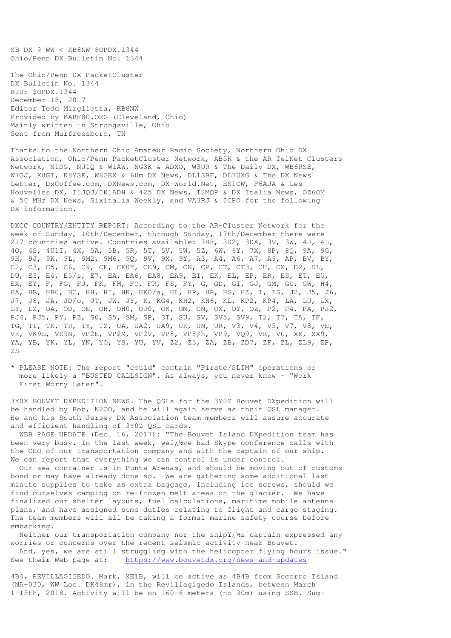SB DX @ WW < KB8NW \$OPDX.1344 Ohio/Penn DX Bulletin No. 1344

The Ohio/Penn DX PacketCluster DX Bulletin No. 1344 BID: \$OPDX.1344 December 18, 2017 Editor Tedd Mirgliotta, KB8NW Provided by BARF80.ORG (Cleveland, Ohio) Mainly written in Strongsville, Ohio Sent from Murfreesboro, TN

Thanks to the Northern Ohio Amateur Radio Society, Northern Ohio DX Association, Ohio/Penn PacketCluster Network, AB5K & the AR TelNet Clusters Network, N1DG, NJ1Q & W1AW, NG3K & ADXO, W3UR & The Daily DX, WB6RSE, W7GJ, K8GI, K8YSE, W8GEX & 60m DX News, DL1SBF, DL7UXG & The DX News Letter, DxCoffee.com, DXNews.com, DX-World.Net, ES1CW, F6AJA & Les Nouvelles DX, I1JQJ/IK1ADH & 425 DX News, I2MQP & DX Italia News, OZ6OM & 50 MHz DX News, Sixitalia Weekly, and VA3RJ & ICPO for the following DX information.

DXCC COUNTRY/ENTITY REPORT: According to the AR-Cluster Network for the week of Sunday, 10th/December, through Sunday, 17th/December there were 217 countries active. Countries available: 3B8, 3D2, 3DA, 3V, 3W, 4J, 4L, 4O, 4S, 4U1I, 4X, 5A, 5B, 5R, 5T, 5V, 5W, 5Z, 6W, 6Y, 7X, 8P, 8Q, 9A, 9G, 9H, 9J, 9K, 9L, 9M2, 9M6, 9Q, 9V, 9X, 9Y, A3, A4, A6, A7, A9, AP, BV, BY, C2, C3, C5, C6, C9, CE, CE0Y, CE9, CM, CN, CP, CT, CT3, CU, CX, D2, DL, DU, E3, E4, E5/s, E7, EA, EA6, EA8, EA9, EI, EK, EL, EP, ER, ES, ET, EU, EX, EY, F, FG, FJ, FK, FM, FO, FR, FS, FY, G, GD, GI, GJ, GM, GU, GW, H4, HA, HB, HB0, HC, HH, HI, HK, HK0/a, HL, HP, HR, HS, HZ, I, IS, J2, J5, J6, J7, J8, JA, JD/o, JT, JW, JY, K, KG4, KH2, KH6, KL, KP2, KP4, LA, LU, LX, LY, LZ, OA, OD, OE, OH, OH0, OJ0, OK, OM, ON, OX, OY, OZ, P2, P4, PA, PJ2, PJ4, PJ5, PY, PZ, S0, S5, SM, SP, ST, SU, SV, SV5, SV9, T2, T7, TA, TF, TG, TI, TK, TR, TY, TZ, UA, UA2, UA9, UK, UN, UR, V3, V4, V5, V7, V8, VE, VK, VK9L, VK9N, VP2E, VP2M, VP2V, VP8, VP8/h, VP9, VQ9, VR, VU, XE, XX9, YA, YB, YK, YL, YN, YO, YS, YU, YV, Z2, Z3, ZA, ZB, ZD7, ZF, ZL, ZL9, ZP,  $Z.S$ 

\* PLEASE NOTE: The report "could" contain "Pirate/SLIM" operations or more likely a "BUSTED CALLSIGN". As always, you never know - "Work First Worry Later".

3Y0X BOUVET DXPEDITION NEWS. The QSLs for the 3Y0Z Bouvet DXpedition will be handled by Bob, N2OO, and he will again serve as their QSL manager. He and his South Jersey DX Association team members will assure accurate and efficient handling of 3Y0Z QSL cards.

WEB PAGE UPDATE (Dec. 16, 2017): "The Bouvet Island DXpedition team has been very busy. In the last week, weï¿%ve had Skype conference calls with the CEO of our transportation company and with the captain of our ship. We can report that everything we can control is under control.

 Our sea container is in Punta Arenas, and should be moving out of customs bond or may have already done so. We are gathering some additional last minute supplies to take as extra baggage, including ice screws, should we find ourselves camping on re-frozen melt areas on the glacier. We have finalized our shelter layouts, fuel calculations, maritime mobile antenna plans, and have assigned some duties relating to flight and cargo staging. The team members will all be taking a formal marine safety course before embarking.

Neither our transportation company nor the shipi¿ hs captain expressed any worries or concerns over the recent seismic activity near Bouvet. And, yes, we are still struggling with the helicopter flying hours issue."

See their Web page at: https://www.bouvetdx.org/news-and-updates

4B4, REVILLAGIGEDO. Mark, XE1B, will be active as 4B4B from Socorro Island (NA-030, WW Loc. DK48mr), in the Revillagigedo Islands, between March 1-15th, 2018. Activity will be on 160-6 meters (no 30m) using SSB. Sug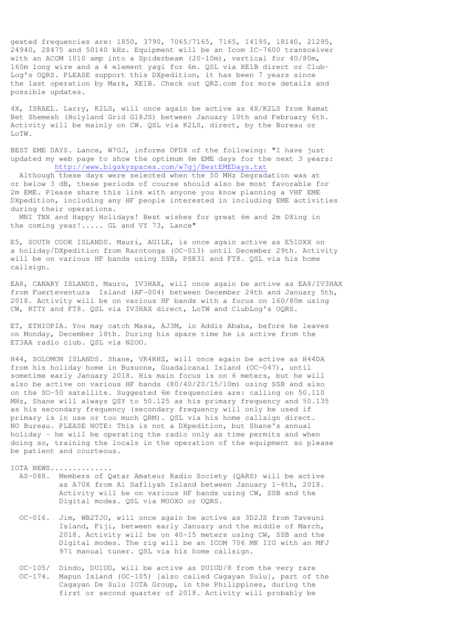gested frequencies are: 1850, 3790, 7065/7165, 7165, 14195, 18140, 21295, 24940, 28475 and 50140 kHz. Equipment will be an Icom IC-7600 transceiver with an ACOM 1010 amp into a Spiderbeam (20-10m), vertical for 40/80m, 160m long wire and a 4 element yagi for 6m. QSL via XE1B direct or Club-Log's OQRS. PLEASE support this DXpedition, it has been 7 years since the last operation by Mark, XE1B. Check out QRZ.com for more details and possible updates.

4X, ISRAEL. Larry, K2LS, will once again be active as 4X/K2LS from Ramat Bet Shemesh (Holyland Grid G18JS) between January 10th and February 6th. Activity will be mainly on CW. QSL via K2LS, direct, by the Bureau or LoTW.

BEST EME DAYS. Lance, W7GJ, informs OPDX of the following: "I have just updated my web page to show the optimum 6m EME days for the next 3 years: http://www.bigskyspaces.com/w7gj/BestEMEDays.txt

 Although these days were selected when the 50 MHz Degradation was at or below 3 dB, these periods of course should also be most favorable for 2m EME. Please share this link with anyone you know planning a VHF EME DXpedition, including any HF people interested in including EME activities during their operations.

 MNI TNX and Happy Holidays! Best wishes for great 6m and 2m DXing in the coming year!..... GL and VY 73, Lance"

E5, SOUTH COOK ISLANDS. Mauri, AG1LE, is once again active as E51DXX on a holiday/DXpedition from Rarotonga (OC-013) until December 29th. Activity will be on various HF bands using SSB, PSK31 and FT8. QSL via his home callsign.

EA8, CANARY ISLANDS. Mauro, IV3HAX, will once again be active as EA8/IV3HAX from Fuerteventura Island (AF-004) between December 24th and January 5th, 2018. Activity will be on various HF bands with a focus on 160/80m using CW, RTTY and FT8. QSL via IV3HAX direct, LoTW and ClubLog's OQRS.

ET, ETHIOPIA. You may catch Masa, AJ3M, in Addis Ababa, before he leaves on Monday, December 18th. During his spare time he is active from the ET3AA radio club. QSL via N2OO.

H44, SOLOMON ISLANDS. Shane, VK4KHZ, will once again be active as H44DA from his holiday home in Busuone, Guadalcanal Island (OC-047), until sometime early January 2018. His main focus is on 6 meters, but he will also be active on various HF bands (80/40/20/15/10m) using SSB and also on the SO-50 satellite. Suggested 6m frequencies are: calling on 50.110 MHz, Shane will always QSY to 50.125 as his primary frequency and 50.135 as his secondary frequency (secondary frequency will only be used if primary is in use or too much QRM). QSL via his home callsign direct. NO Bureau. PLEASE NOTE: This is not a DXpedition, but Shane's annual holiday - he will be operating the radio only as time permits and when doing so, training the locals in the operation of the equipment so please be patient and courteous.

IOTA NEWS.............. AS-088. Members of Qatar Amateur Radio Society (QARS) will be active as A70X from Al Safliyah Island between January 1-6th, 2018. Activity will be on various HF bands using CW, SSB and the Digital modes. QSL via M0OXO or OQRS.

- OC-016. Jim, WB2TJO, will once again be active as 3D2JS from Taveuni Island, Fiji, between early January and the middle of March, 2018. Activity will be on 40-15 meters using CW, SSB and the Digital modes. The rig will be an ICOM 706 MK IIG with an MFJ 971 manual tuner. QSL via his home callsign.
- OC-105/ Dindo, DU1UD, will be active as DU1UD/8 from the very rare OC-174. Mapun Island (OC-105) [also called Cagayan Sulu], part of the Cagayan De Sulu IOTA Group, in the Philippines, during the first or second quarter of 2018. Activity will probably be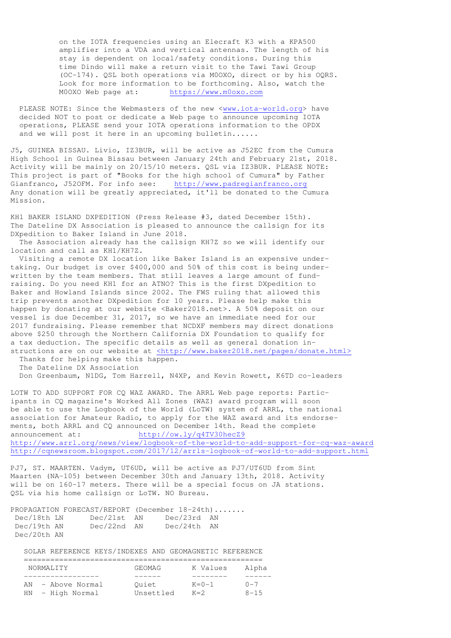on the IOTA frequencies using an Elecraft K3 with a KPA500 amplifier into a VDA and vertical antennas. The length of his stay is dependent on local/safety conditions. During this time Dindo will make a return visit to the Tawi Tawi Group (OC-174). QSL both operations via M0OXO, direct or by his OQRS. Look for more information to be forthcoming. Also, watch the M0OXO Web page at: https://www.m0oxo.com

PLEASE NOTE: Since the Webmasters of the new <www.iota-world.org> have decided NOT to post or dedicate a Web page to announce upcoming IOTA operations, PLEASE send your IOTA operations information to the OPDX and we will post it here in an upcoming bulletin......

J5, GUINEA BISSAU. Livio, IZ3BUR, will be active as J52EC from the Cumura High School in Guinea Bissau between January 24th and February 21st, 2018. Activity will be mainly on 20/15/10 meters. QSL via IZ3BUR. PLEASE NOTE: This project is part of "Books for the high school of Cumura" by Father Gianfranco, J52OFM. For info see: http://www.padregianfranco.org Any donation will be greatly appreciated, it'll be donated to the Cumura Mission.

KH1 BAKER ISLAND DXPEDITION (Press Release #3, dated December 15th). The Dateline DX Association is pleased to announce the callsign for its DXpedition to Baker Island in June 2018.

 The Association already has the callsign KH7Z so we will identify our location and call as KH1/KH7Z.

 Visiting a remote DX location like Baker Island is an expensive undertaking. Our budget is over \$400,000 and 50% of this cost is being underwritten by the team members. That still leaves a large amount of fundraising. Do you need KH1 for an ATNO? This is the first DXpedition to Baker and Howland Islands since 2002. The FWS ruling that allowed this trip prevents another DXpedition for 10 years. Please help make this happen by donating at our website <Baker2018.net>. A 50% deposit on our vessel is due December 31, 2017, so we have an immediate need for our 2017 fundraising. Please remember that NCDXF members may direct donations above \$250 through the Northern California DX Foundation to qualify for a tax deduction. The specific details as well as general donation instructions are on our website at <http://www.baker2018.net/pages/donate.html>

 Thanks for helping make this happen. The Dateline DX Association

Don Greenbaum, N1DG, Tom Harrell, N4XP, and Kevin Rowett, K6TD co-leaders

LOTW TO ADD SUPPORT FOR CQ WAZ AWARD. The ARRL Web page reports: Participants in CQ magazine's Worked All Zones (WAZ) award program will soon be able to use the Logbook of the World (LoTW) system of ARRL, the national association for Amateur Radio, to apply for the WAZ award and its endorsements, both ARRL and CQ announced on December 14th. Read the complete announcement at: http://ow.ly/q4TV30hecZ9 http://www.arrl.org/news/view/logbook-of-the-world-to-add-support-for-cq-waz-award http://cqnewsroom.blogspot.com/2017/12/arrls-logbook-of-world-to-add-support.html

PJ7, ST. MAARTEN. Vadym, UT6UD, will be active as PJ7/UT6UD from Sint Maarten (NA-105) between December 30th and January 13th, 2018. Activity will be on 160-17 meters. There will be a special focus on JA stations. QSL via his home callsign or LoTW. NO Bureau.

|             | PROPAGATION FORECAST/REPORT (December $18-24th)$ |             |  |
|-------------|--------------------------------------------------|-------------|--|
| Dec/18th LN | Dec/21st AN                                      | Dec/23rd AN |  |
| Dec/19th AN | $Dec/22nd$ AN                                    | Dec/24th AN |  |
| Dec/20th AN |                                                  |             |  |

SOLAR REFERENCE KEYS/INDEXES AND GEOMAGNETIC REFERENCE

| NORMALITY            | GEOMAG    | K Values    | Alpha     |
|----------------------|-----------|-------------|-----------|
|                      |           |             |           |
| - Above Normal<br>ΆN | Ouiet     | $K = 0 - 1$ | $(1 - 7)$ |
| HN<br>- High Normal  | Unsettled | $K=2$       | $8 - 15$  |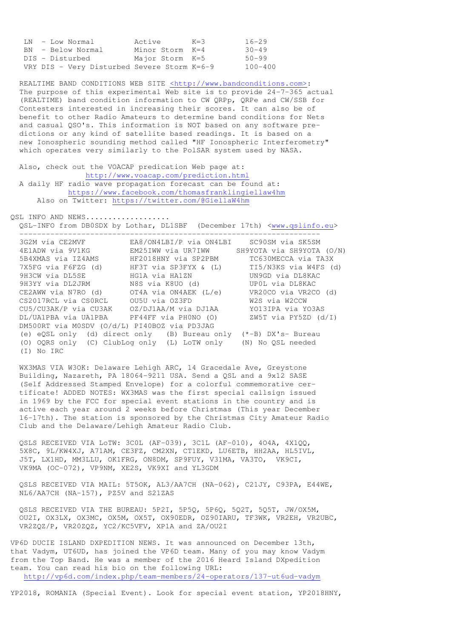|  | LN - Low Normal                             | Active          | $K=3$ | $16 - 29$   |
|--|---------------------------------------------|-----------------|-------|-------------|
|  | BN - Below Normal                           | Minor Storm K=4 |       | $30 - 49$   |
|  | DIS - Disturbed                             | Major Storm K=5 |       | 50-99       |
|  | VRY DIS - Very Disturbed Severe Storm K=6-9 |                 |       | $100 - 400$ |

REALTIME BAND CONDITIONS WEB SITE <http://www.bandconditions.com>: The purpose of this experimental Web site is to provide 24-7-365 actual (REALTIME) band condition information to CW QRPp, QRPe and CW/SSB for Contesters interested in increasing their scores. It can also be of benefit to other Radio Amateurs to determine band conditions for Nets and casual QSO's. This information is NOT based on any software pre dictions or any kind of satellite based readings. It is based on a new Ionospheric sounding method called "HF Ionospheric Interferometry" which operates very similarly to the PolSAR system used by NASA.

 Also, check out the VOACAP predication Web page at: http://www.voacap.com/prediction.html A daily HF radio wave propagation forecast can be found at: https://www.facebook.com/thomasfranklingiellaw4hm Also on Twitter: https://twitter.com/@GiellaW4hm

QSL INFO AND NEWS..................

QSL-INFO from DB0SDX by Lothar, DL1SBF (December 17th) <www.qslinfo.eu>

| 3G2M via CE2MVF                              | EA8/ON4LBI/P via ON4LBI                                            | SC90SM via SK5SM          |  |  |
|----------------------------------------------|--------------------------------------------------------------------|---------------------------|--|--|
| 4E1ADW via 9V1KG                             | EM25IWW via UR7IWW                                                 | SH9YOTA via SH9YOTA (O/N) |  |  |
| 5B4XMAS via IZ4AMS                           | HF2018HNY via SP2PBM                                               | TC630MECCA via TA3X       |  |  |
| 7X5FG via F6FZG (d)                          | HF3T via SP3FYX & (L)                                              | TI5/N3KS via W4FS (d)     |  |  |
| 9H3CW via DL5SE                              | HG1A via HA1ZN                                                     | UN9GD via DL8KAC          |  |  |
| 9H3YY via DL2JRM                             | N8S via K8UO (d)                                                   | UPOL via DL8KAC           |  |  |
| CE2AWW via N7RO (d)                          | $OTA$ via $ON4AEK$ $(L/e)$                                         | VR20CO via VR2CO (d)      |  |  |
| CS2017RCL via CSORCL                         | OU5U via OZ3FD                                                     | W2S via W2CCW             |  |  |
| CU5/CU3AK/P via CU3AK                        | OZ/DJ1AA/M via DJ1AA                                               | YO13IPA via YO3AS         |  |  |
| DL/UA1PBA via UA1PBA PF44FF via PH0NO (O)    |                                                                    | ZW5T via PY5ZD $(d/I)$    |  |  |
| DM500RT via MOSDV (O/d/L) PI40BOZ via PD3JAG |                                                                    |                           |  |  |
|                                              | (e) eQSL only (d) direct only (B) Bureau only $(*-B)$ DX's- Bureau |                           |  |  |
|                                              | (O) OQRS only (C) ClubLog only (L) LoTW only                       | (N) No OSL needed         |  |  |
| No IRC                                       |                                                                    |                           |  |  |

 WX3MAS VIA W3OK: Delaware Lehigh ARC, 14 Gracedale Ave, Greystone Building, Nazareth, PA 18064-9211 USA. Send a QSL and a 9x12 SASE (Self Addressed Stamped Envelope) for a colorful commemorative cer tificate! ADDED NOTES: WX3MAS was the first special callsign issued in 1969 by the FCC for special event stations in the country and is active each year around 2 weeks before Christmas (This year December 16-17th). The station is sponsored by the Christmas City Amateur Radio Club and the Delaware/Lehigh Amateur Radio Club.

 QSLS RECEIVED VIA LoTW: 3C0L (AF-039), 3C1L (AF-010), 4O4A, 4X1QQ, 5X8C, 9L/KW4XJ, A71AM, CE3FZ, CM2XN, CT1EKD, LU6ETB, HH2AA, HL5IVL, J5T, LX1HD, MM3LLU, OK1FRG, ON8DM, SP9FUY, V31MA, VA3TO, VK9CI, VK9MA (OC-072), VP9NM, XE2S, VK9XI and YL3GDM

 QSLS RECEIVED VIA MAIL: 5T5OK, AL3/AA7CH (NA-062), C21JY, C93PA, E44WE, NL6/AA7CH (NA-157), PZ5V and S21ZAS

 QSLS RECEIVED VIA THE BUREAU: 5P2I, 5P5Q, 5P6Q, 5Q2T, 5Q5T, JW/OX5M, OU2I, OX3LX, OX3MC, OX5M, OX5T, OX90EDR, OZ90IARU, TF3WK, VR2EH, VR2UBC, VR2ZQZ/P, VR20ZQZ, YC2/KC5VFV, XP1A and ZA/OU2I

VP6D DUCIE ISLAND DXPEDITION NEWS. It was announced on December 13th, that Vadym, UT6UD, has joined the VP6D team. Many of you may know Vadym from the Top Band. He was a member of the 2016 Heard Island DXpedition team. You can read his bio on the following URL: http://vp6d.com/index.php/team-members/24-operators/137-ut6ud-vadym

YP2018, ROMANIA (Special Event). Look for special event station, YP2018HNY,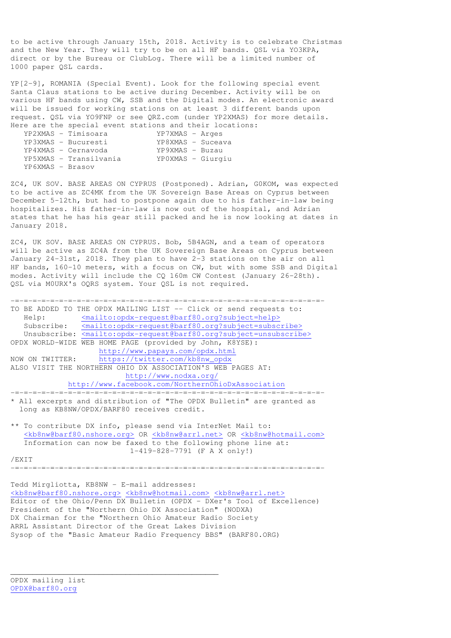to be active through January 15th, 2018. Activity is to celebrate Christmas and the New Year. They will try to be on all HF bands. QSL via YO3KPA, direct or by the Bureau or ClubLog. There will be a limited number of 1000 paper QSL cards.

YP[2-9], ROMANIA (Special Event). Look for the following special event Santa Claus stations to be active during December. Activity will be on various HF bands using CW, SSB and the Digital modes. An electronic award will be issued for working stations on at least 3 different bands upon request. QSL via YO9FNP or see QRZ.com (under YP2XMAS) for more details. Here are the special event stations and their locations:

|                  | YP2XMAS - Timisoara    | YP7XMAS - Arges   |  |
|------------------|------------------------|-------------------|--|
|                  | YP3XMAS - Bucuresti    | YP8XMAS - Suceava |  |
|                  | YP4XMAS - Cernavoda    | $YP9XMAS - Buzau$ |  |
|                  | YP5XMAS - Transilvania | YPOXMAS - Giurgiu |  |
| YP6XMAS - Brasov |                        |                   |  |

ZC4, UK SOV. BASE AREAS ON CYPRUS (Postponed). Adrian, G0KOM, was expected to be active as ZC4MK from the UK Sovereign Base Areas on Cyprus between December 5-12th, but had to postpone again due to his father-in-law being hospitalizes. His father-in-law is now out of the hospital, and Adrian states that he has his gear still packed and he is now looking at dates in January 2018.

ZC4, UK SOV. BASE AREAS ON CYPRUS. Bob, 5B4AGN, and a team of operators will be active as ZC4A from the UK Sovereign Base Areas on Cyprus between January 24-31st, 2018. They plan to have 2-3 stations on the air on all HF bands, 160-10 meters, with a focus on CW, but with some SSB and Digital modes. Activity will include the CQ 160m CW Contest (January 26-28th). QSL via M0URX's OQRS system. Your QSL is not required.

-=-=-=-=-=-=-=-=-=-=-=-=-=-=-=-=-=-=-=-=-=-=-=-=-=-=-=-=-=-=-=-=-=-=-=- TO BE ADDED TO THE OPDX MAILING LIST -- Click or send requests to: Help: <mailto:opdx-request@barf80.org?subject=help> Subscribe:  $\overline{\text{ $\text{mailto:} opdx\text{-}request@barf80.\text{org?}subject=subscribe}}$$  Unsubscribe: <mailto:opdx-request@barf80.org?subject=unsubscribe> OPDX WORLD-WIDE WEB HOME PAGE (provided by John, K8YSE): http://www.papays.com/opdx.html NOW ON TWITTER: https://twitter.com/kb8nw\_opdx ALSO VISIT THE NORTHERN OHIO DX ASSOCIATION'S WEB PAGES AT: http://www.nodxa.org/ http://www.facebook.com/NorthernOhioDxAssociation -=-=-=-=-=-=-=-=-=-=-=-=-=-=-=-=-=-=-=-=-=-=-=-=-=-=-=-=-=-=-=-=-=-=-=- \* All excerpts and distribution of "The OPDX Bulletin" are granted as long as KB8NW/OPDX/BARF80 receives credit. \*\* To contribute DX info, please send via InterNet Mail to: <kb8nw@barf80.nshore.org> OR <kb8nw@arrl.net> OR <kb8nw@hotmail.com> Information can now be faxed to the following phone line at: 1-419-828-7791 (F A X only!)

/EXIT

-=-=-=-=-=-=-=-=-=-=-=-=-=-=-=-=-=-=-=-=-=-=-=-=-=-=-=-=-=-=-=-=-=-=-=-

Tedd Mirgliotta, KB8NW - E-mail addresses: <kb8nw@barf80.nshore.org> <kb8nw@hotmail.com> <kb8nw@arrl.net> Editor of the Ohio/Penn DX Bulletin (OPDX - DXer's Tool of Excellence) President of the "Northern Ohio DX Association" (NODXA) DX Chairman for the "Northern Ohio Amateur Radio Society ARRL Assistant Director of the Great Lakes Division Sysop of the "Basic Amateur Radio Frequency BBS" (BARF80.ORG)

\_\_\_\_\_\_\_\_\_\_\_\_\_\_\_\_\_\_\_\_\_\_\_\_\_\_\_\_\_\_\_\_\_\_\_\_\_\_\_\_\_\_\_\_\_\_\_